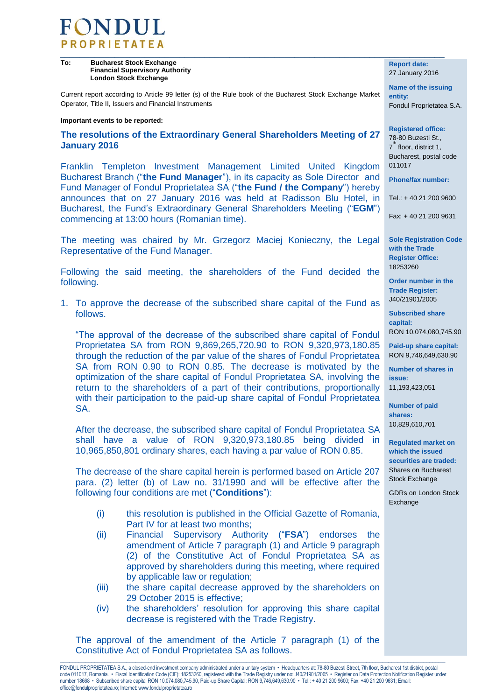

**To: Bucharest Stock Exchange Financial Supervisory Authority London Stock Exchange**

Current report according to Article 99 letter (s) of the Rule book of the Bucharest Stock Exchange Market Operator, Title II, Issuers and Financial Instruments

## **Important events to be reported:**

**The resolutions of the Extraordinary General Shareholders Meeting of 27 January 2016**

Franklin Templeton Investment Management Limited United Kingdom Bucharest Branch ("**the Fund Manager**"), in its capacity as Sole Director and Fund Manager of Fondul Proprietatea SA ("**the Fund / the Company**") hereby announces that on 27 January 2016 was held at Radisson Blu Hotel, in Bucharest, the Fund's Extraordinary General Shareholders Meeting ("**EGM**") commencing at 13:00 hours (Romanian time).

The meeting was chaired by Mr. Grzegorz Maciej Konieczny, the Legal Representative of the Fund Manager.

Following the said meeting, the shareholders of the Fund decided the following.

1. To approve the decrease of the subscribed share capital of the Fund as follows.

"The approval of the decrease of the subscribed share capital of Fondul Proprietatea SA from RON 9,869,265,720.90 to RON 9,320,973,180.85 through the reduction of the par value of the shares of Fondul Proprietatea SA from RON 0.90 to RON 0.85. The decrease is motivated by the optimization of the share capital of Fondul Proprietatea SA, involving the return to the shareholders of a part of their contributions, proportionally with their participation to the paid-up share capital of Fondul Proprietatea SA.

After the decrease, the subscribed share capital of Fondul Proprietatea SA shall have a value of RON 9,320,973,180.85 being divided in 10,965,850,801 ordinary shares, each having a par value of RON 0.85.

The decrease of the share capital herein is performed based on Article 207 para. (2) letter (b) of Law no. 31/1990 and will be effective after the following four conditions are met ("**Conditions**"):

- (i) this resolution is published in the Official Gazette of Romania, Part IV for at least two months;
- (ii) Financial Supervisory Authority ("**FSA**") endorses the amendment of Article 7 paragraph (1) and Article 9 paragraph (2) of the Constitutive Act of Fondul Proprietatea SA as approved by shareholders during this meeting, where required by applicable law or regulation;
- (iii) the share capital decrease approved by the shareholders on 29 October 2015 is effective;
- (iv) the shareholders' resolution for approving this share capital decrease is registered with the Trade Registry.

The approval of the amendment of the Article 7 paragraph (1) of the Constitutive Act of Fondul Proprietatea SA as follows.

**Report date:** 27 January 2016

**Name of the issuing entity:**  Fondul Proprietatea S.A.

**Registered office:**  78-80 Buzesti St., 7<sup>th</sup> floor, district 1, Bucharest, postal code 011017

**Phone/fax number:** 

 $Tel + 40 21 200 9600$ 

Fax: + 40 21 200 9631

**Sole Registration Code with the Trade Register Office:**  18253260

**Order number in the Trade Register:**  J40/21901/2005

**Subscribed share capital:**  RON 10,074,080,745.90

**Paid-up share capital:**  RON 9,746,649,630.90

**Number of shares in issue:** 11,193,423,051

**Number of paid shares:** 10,829,610,701

**Regulated market on which the issued securities are traded:** Shares on Bucharest Stock Exchange

GDRs on London Stock Exchange

 $\_$  ,  $\_$  ,  $\_$  ,  $\_$  ,  $\_$  ,  $\_$  ,  $\_$  ,  $\_$  ,  $\_$  ,  $\_$  ,  $\_$  ,  $\_$  ,  $\_$  ,  $\_$  ,  $\_$  ,  $\_$  ,  $\_$  ,  $\_$  ,  $\_$  ,  $\_$  ,  $\_$  ,  $\_$  ,  $\_$  ,  $\_$  ,  $\_$  ,  $\_$  ,  $\_$  ,  $\_$  ,  $\_$  ,  $\_$  ,  $\_$  ,  $\_$  ,  $\_$  ,  $\_$  ,  $\_$  ,  $\_$  ,  $\_$  ,